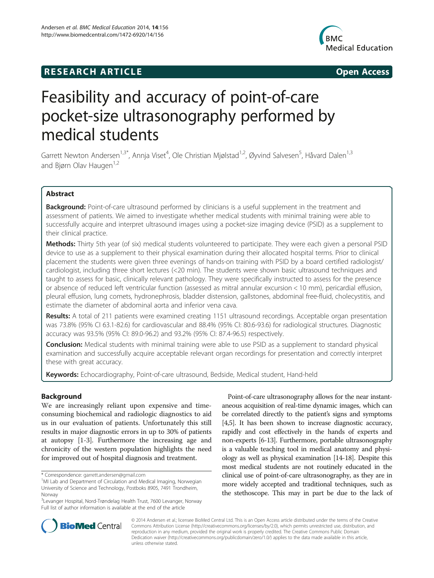## **RESEARCH ARTICLE Example 2014 The SEAR CH ACCESS**



# Feasibility and accuracy of point-of-care pocket-size ultrasonography performed by medical students

Garrett Newton Andersen<sup>1,3\*</sup>, Annja Viset<sup>4</sup>, Ole Christian Mjølstad<sup>1,2</sup>, Øyvind Salvesen<sup>5</sup>, Håvard Dalen<sup>1,3</sup> and Bjørn Olav Haugen<sup>1,2</sup>

## Abstract

**Background:** Point-of-care ultrasound performed by clinicians is a useful supplement in the treatment and assessment of patients. We aimed to investigate whether medical students with minimal training were able to successfully acquire and interpret ultrasound images using a pocket-size imaging device (PSID) as a supplement to their clinical practice.

Methods: Thirty 5th year (of six) medical students volunteered to participate. They were each given a personal PSID device to use as a supplement to their physical examination during their allocated hospital terms. Prior to clinical placement the students were given three evenings of hands-on training with PSID by a board certified radiologist/ cardiologist, including three short lectures (<20 min). The students were shown basic ultrasound techniques and taught to assess for basic, clinically relevant pathology. They were specifically instructed to assess for the presence or absence of reduced left ventricular function (assessed as mitral annular excursion < 10 mm), pericardial effusion, pleural effusion, lung comets, hydronephrosis, bladder distension, gallstones, abdominal free-fluid, cholecystitis, and estimate the diameter of abdominal aorta and inferior vena cava.

Results: A total of 211 patients were examined creating 1151 ultrasound recordings. Acceptable organ presentation was 73.8% (95% CI 63.1-82.6) for cardiovascular and 88.4% (95% CI: 80.6-93.6) for radiological structures. Diagnostic accuracy was 93.5% (95% CI: 89.0-96.2) and 93.2% (95% CI: 87.4-96.5) respectively.

**Conclusion:** Medical students with minimal training were able to use PSID as a supplement to standard physical examination and successfully acquire acceptable relevant organ recordings for presentation and correctly interpret these with great accuracy.

Keywords: Echocardiography, Point-of-care ultrasound, Bedside, Medical student, Hand-held

## Background

We are increasingly reliant upon expensive and timeconsuming biochemical and radiologic diagnostics to aid us in our evaluation of patients. Unfortunately this still results in major diagnostic errors in up to 30% of patients at autopsy [\[1-3](#page-4-0)]. Furthermore the increasing age and chronicity of the western population highlights the need for improved out of hospital diagnosis and treatment.

Point-of-care ultrasonography allows for the near instantaneous acquisition of real-time dynamic images, which can be correlated directly to the patient's signs and symptoms [[4,5](#page-4-0)]. It has been shown to increase diagnostic accuracy, rapidly and cost effectively in the hands of experts and non-experts [\[6-13\]](#page-4-0). Furthermore, portable ultrasonography is a valuable teaching tool in medical anatomy and physiology as well as physical examination [[14-18\]](#page-4-0). Despite this most medical students are not routinely educated in the clinical use of point-of-care ultrasonography, as they are in more widely accepted and traditional techniques, such as the stethoscope. This may in part be due to the lack of



© 2014 Andersen et al.; licensee BioMed Central Ltd. This is an Open Access article distributed under the terms of the Creative Commons Attribution License [\(http://creativecommons.org/licenses/by/2.0\)](http://creativecommons.org/licenses/by/2.0), which permits unrestricted use, distribution, and reproduction in any medium, provided the original work is properly credited. The Creative Commons Public Domain Dedication waiver [\(http://creativecommons.org/publicdomain/zero/1.0/](http://creativecommons.org/publicdomain/zero/1.0/)) applies to the data made available in this article, unless otherwise stated.

<sup>\*</sup> Correspondence: [garrett.andersen@gmail.com](mailto:garrett.andersen@gmail.com) <sup>1</sup>

<sup>&</sup>lt;sup>1</sup>MI Lab and Department of Circulation and Medical Imaging, Norwegian University of Science and Technology, Postboks 8905, 7491 Trondheim, Norway

<sup>&</sup>lt;sup>3</sup>Levanger Hospital, Nord-Trøndelag Health Trust, 7600 Levanger, Norway Full list of author information is available at the end of the article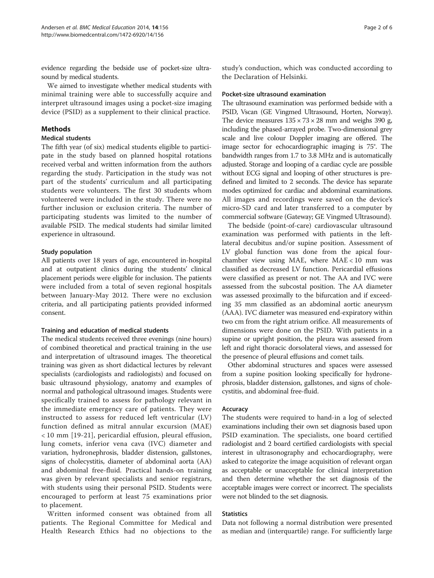evidence regarding the bedside use of pocket-size ultrasound by medical students.

We aimed to investigate whether medical students with minimal training were able to successfully acquire and interpret ultrasound images using a pocket-size imaging device (PSID) as a supplement to their clinical practice.

## **Methods**

## Medical students

The fifth year (of six) medical students eligible to participate in the study based on planned hospital rotations received verbal and written information from the authors regarding the study. Participation in the study was not part of the students' curriculum and all participating students were volunteers. The first 30 students whom volunteered were included in the study. There were no further inclusion or exclusion criteria. The number of participating students was limited to the number of available PSID. The medical students had similar limited experience in ultrasound.

## Study population

All patients over 18 years of age, encountered in-hospital and at outpatient clinics during the students' clinical placement periods were eligible for inclusion. The patients were included from a total of seven regional hospitals between January-May 2012. There were no exclusion criteria, and all participating patients provided informed consent.

## Training and education of medical students

The medical students received three evenings (nine hours) of combined theoretical and practical training in the use and interpretation of ultrasound images. The theoretical training was given as short didactical lectures by relevant specialists (cardiologists and radiologists) and focused on basic ultrasound physiology, anatomy and examples of normal and pathological ultrasound images. Students were specifically trained to assess for pathology relevant in the immediate emergency care of patients. They were instructed to assess for reduced left ventricular (LV) function defined as mitral annular excursion (MAE) < 10 mm [[19](#page-4-0)-[21](#page-4-0)], pericardial effusion, pleural effusion, lung comets, inferior vena cava (IVC) diameter and variation, hydronephrosis, bladder distension, gallstones, signs of cholecystitis, diameter of abdominal aorta (AA) and abdominal free-fluid. Practical hands-on training was given by relevant specialists and senior registrars, with students using their personal PSID. Students were encouraged to perform at least 75 examinations prior to placement.

Written informed consent was obtained from all patients. The Regional Committee for Medical and Health Research Ethics had no objections to the study's conduction, which was conducted according to the Declaration of Helsinki.

## Pocket-size ultrasound examination

The ultrasound examination was performed bedside with a PSID, Vscan (GE Vingmed Ultrasound, Horten, Norway). The device measures  $135 \times 73 \times 28$  mm and weighs 390 g, including the phased-arrayed probe. Two-dimensional grey scale and live colour Doppler imaging are offered. The image sector for echocardiographic imaging is 75°. The bandwidth ranges from 1.7 to 3.8 MHz and is automatically adjusted. Storage and looping of a cardiac cycle are possible without ECG signal and looping of other structures is predefined and limited to 2 seconds. The device has separate modes optimized for cardiac and abdominal examinations. All images and recordings were saved on the device's micro-SD card and later transferred to a computer by commercial software (Gateway; GE Vingmed Ultrasound).

The bedside (point-of-care) cardiovascular ultrasound examination was performed with patients in the leftlateral decubitus and/or supine position. Assessment of LV global function was done from the apical fourchamber view using MAE, where MAE < 10 mm was classified as decreased LV function. Pericardial effusions were classified as present or not. The AA and IVC were assessed from the subcostal position. The AA diameter was assessed proximally to the bifurcation and if exceeding 35 mm classified as an abdominal aortic aneurysm (AAA). IVC diameter was measured end-expiratory within two cm from the right atrium orifice. All measurements of dimensions were done on the PSID. With patients in a supine or upright position, the pleura was assessed from left and right thoracic dorsolateral views, and assessed for the presence of pleural effusions and comet tails.

Other abdominal structures and spaces were assessed from a supine position looking specifically for hydronephrosis, bladder distension, gallstones, and signs of cholecystitis, and abdominal free-fluid.

## Accuracy

The students were required to hand-in a log of selected examinations including their own set diagnosis based upon PSID examination. The specialists, one board certified radiologist and 2 board certified cardiologists with special interest in ultrasonography and echocardiography, were asked to categorize the image acquisition of relevant organ as acceptable or unacceptable for clinical interpretation and then determine whether the set diagnosis of the acceptable images were correct or incorrect. The specialists were not blinded to the set diagnosis.

## **Statistics**

Data not following a normal distribution were presented as median and (interquartile) range. For sufficiently large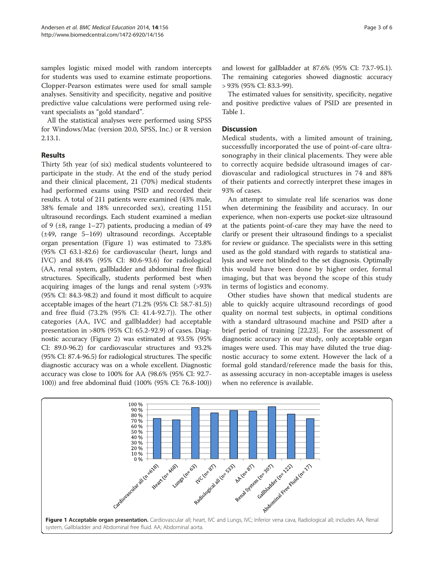samples logistic mixed model with random intercepts for students was used to examine estimate proportions. Clopper-Pearson estimates were used for small sample analyses. Sensitivity and specificity, negative and positive predictive value calculations were performed using relevant specialists as "gold standard".

All the statistical analyses were performed using SPSS for Windows/Mac (version 20.0, SPSS, Inc.) or R version 2.13.1.

## Results

Thirty 5th year (of six) medical students volunteered to participate in the study. At the end of the study period and their clinical placement, 21 (70%) medical students had performed exams using PSID and recorded their results. A total of 211 patients were examined (43% male, 38% female and 18% unrecorded sex), creating 1151 ultrasound recordings. Each student examined a median of 9 ( $\pm 8$ , range 1–27) patients, producing a median of 49 (±49, range 5–169) ultrasound recordings. Acceptable organ presentation (Figure 1) was estimated to 73.8% (95% CI 63.1-82.6) for cardiovascular (heart, lungs and IVC) and 88.4% (95% CI: 80.6-93.6) for radiological (AA, renal system, gallbladder and abdominal free fluid) structures. Specifically, students performed best when acquiring images of the lungs and renal system (>93% (95% CI: 84.3-98.2) and found it most difficult to acquire acceptable images of the heart (71.2% (95% CI: 58.7-81.5)) and free fluid (73.2% (95% CI: 41.4-92.7)). The other categories (AA, IVC and gallbladder) had acceptable presentation in >80% (95% CI: 65.2-92.9) of cases. Diagnostic accuracy (Figure [2\)](#page-3-0) was estimated at 93.5% (95% CI: 89.0-96.2) for cardiovascular structures and 93.2% (95% CI: 87.4-96.5) for radiological structures. The specific diagnostic accuracy was on a whole excellent. Diagnostic accuracy was close to 100% for AA (98.6% (95% CI: 92.7- 100)) and free abdominal fluid (100% (95% CI: 76.8-100))

and lowest for gallbladder at 87.6% (95% CI: 73.7-95.1). The remaining categories showed diagnostic accuracy > 93% (95% CI: 83.3-99).

The estimated values for sensitivity, specificity, negative and positive predictive values of PSID are presented in Table [1.](#page-3-0)

## **Discussion**

Medical students, with a limited amount of training, successfully incorporated the use of point-of-care ultrasonography in their clinical placements. They were able to correctly acquire bedside ultrasound images of cardiovascular and radiological structures in 74 and 88% of their patients and correctly interpret these images in 93% of cases.

An attempt to simulate real life scenarios was done when determining the feasibility and accuracy. In our experience, when non-experts use pocket-size ultrasound at the patients point-of-care they may have the need to clarify or present their ultrasound findings to a specialist for review or guidance. The specialists were in this setting used as the gold standard with regards to statistical analysis and were not blinded to the set diagnosis. Optimally this would have been done by higher order, formal imaging, but that was beyond the scope of this study in terms of logistics and economy.

Other studies have shown that medical students are able to quickly acquire ultrasound recordings of good quality on normal test subjects, in optimal conditions with a standard ultrasound machine and PSID after a brief period of training [\[22,](#page-4-0)[23\]](#page-5-0). For the assessment of diagnostic accuracy in our study, only acceptable organ images were used. This may have diluted the true diagnostic accuracy to some extent. However the lack of a formal gold standard/reference made the basis for this, as assessing accuracy in non-acceptable images is useless when no reference is available.

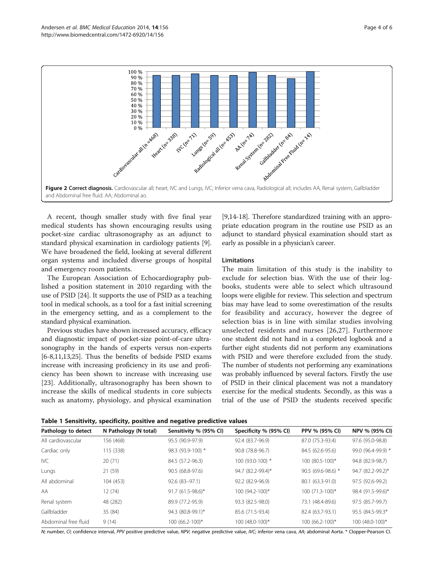<span id="page-3-0"></span>

A recent, though smaller study with five final year medical students has shown encouraging results using pocket-size cardiac ultrasonography as an adjunct to standard physical examination in cardiology patients [\[9](#page-4-0)]. We have broadened the field, looking at several different organ systems and included diverse groups of hospital and emergency room patients.

The European Association of Echocardiography published a position statement in 2010 regarding with the use of PSID [[24](#page-5-0)]. It supports the use of PSID as a teaching tool in medical schools, as a tool for a fast initial screening in the emergency setting, and as a complement to the standard physical examination.

Previous studies have shown increased accuracy, efficacy and diagnostic impact of pocket-size point-of-care ultrasonography in the hands of experts versus non-experts [[6-8,11,13](#page-4-0)[,25](#page-5-0)]. Thus the benefits of bedside PSID exams increase with increasing proficiency in its use and proficiency has been shown to increase with increasing use [[23\]](#page-5-0). Additionally, ultrasonography has been shown to increase the skills of medical students in core subjects such as anatomy, physiology, and physical examination

[[9,14](#page-4-0)-[18](#page-4-0)]. Therefore standardized training with an appropriate education program in the routine use PSID as an adjunct to standard physical examination should start as early as possible in a physician's career.

#### Limitations

The main limitation of this study is the inability to exclude for selection bias. With the use of their logbooks, students were able to select which ultrasound loops were eligible for review. This selection and spectrum bias may have lead to some overestimation of the results for feasibility and accuracy, however the degree of selection bias is in line with similar studies involving unselected residents and nurses [[26,27\]](#page-5-0). Furthermore one student did not hand in a completed logbook and a further eight students did not perform any examinations with PSID and were therefore excluded from the study. The number of students not performing any examinations was probably influenced by several factors. Firstly the use of PSID in their clinical placement was not a mandatory exercise for the medical students. Secondly, as this was a trial of the use of PSID the students received specific

| Table 1 Sensitivity, specificity, positive and negative predictive values |  |  |  |  |  |  |
|---------------------------------------------------------------------------|--|--|--|--|--|--|
|---------------------------------------------------------------------------|--|--|--|--|--|--|

| Pathology to detect  | N Pathology (N total) | Sensitivity % (95% CI) | Specificity % (95% CI) | PPV % (95% CI)     | NPV % (95% CI)     |
|----------------------|-----------------------|------------------------|------------------------|--------------------|--------------------|
|                      |                       |                        |                        |                    |                    |
| All cardiovascular   | 156 (468)             | 95.5 (90.9-97.9)       | 92.4 (83.7-96.9)       | 87.0 (75.3-93.4)   | 97.6 (95.0-98.8)   |
| Cardiac only         | 115 (338)             | 98.3 (93.9-100) *      | 90.8 (78.8-96.7)       | 84.5 (62.6-95.6)   | 99.0 (96.4-99.9) * |
| <b>IVC</b>           | 20(71)                | 84.5 (57.2-96.3)       | 100 (93.0-100) *       | 100 (80.5-100)*    | 94.8 (82.9-98.7)   |
| Lungs                | 21(59)                | 90.5 (68.8-97.6)       | 94.7 (82.2-99.4)*      | 90.5 (69.6-98.6) * | 94.7 (82.2-99.2)*  |
| All abdominal        | 104 (453)             | 92.6 (83-97.1)         | 92.2 (82.9-96.9)       | 80.1 (63.3-91.0)   | 97.5 (92.6-99.2)   |
| AA                   | 12 (74)               | 91.7 (61.5-98.6)*      | 100 (94.2-100)*        | 100 (71.3-100)*    | 98.4 (91.5-99.6)*  |
| Renal system         | 48 (282)              | 89.9 (77.2-95.9)       | 93.3 (82.5-98.0)       | 73.1 (48.4-89.6)   | 97.5 (85.7-99.7)   |
| Gallbladder          | 35 (84)               | 94.3 (80.8-99.1)*      | 85.6 (71.5-93.4)       | 82.4 (63.7-93.1)   | 95.5 (84.5-99.3*   |
| Abdominal free fluid | 9(14)                 | 100 (66.2-100)*        | 100 (48.0-100)*        | 100 (66.2-100)*    | 100 (48.0-100)*    |

N; number, CI; confidence interval, PPV positive predictive value, NPV; negative predictive value, IVC; inferior vena cava, AA; abdominal Aorta. \* Clopper-Pearson CI.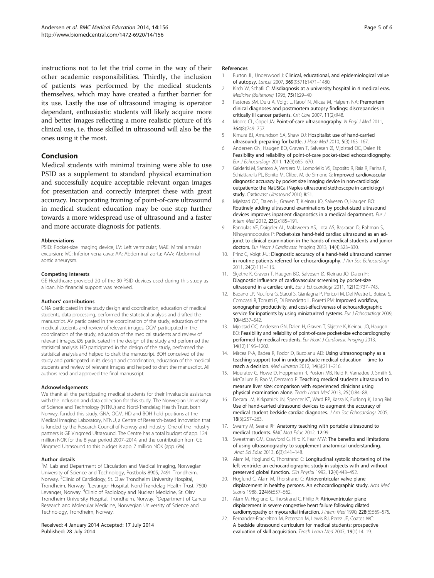<span id="page-4-0"></span>instructions not to let the trial come in the way of their other academic responsibilities. Thirdly, the inclusion of patients was performed by the medical students themselves, which may have created a further barrier for its use. Lastly the use of ultrasound imaging is operator dependant, enthusiastic students will likely acquire more and better images reflecting a more realistic picture of it's clinical use, i.e. those skilled in ultrasound will also be the ones using it the most.

## Conclusion

Medical students with minimal training were able to use PSID as a supplement to standard physical examination and successfully acquire acceptable relevant organ images for presentation and correctly interpret these with great accuracy. Incorporating training of point-of-care ultrasound in medical student education may be one step further towards a more widespread use of ultrasound and a faster and more accurate diagnosis for patients.

#### Abbreviations

PSID: Pocket-size imaging device; LV: Left ventricular; MAE: Mitral annular excursion; IVC: Inferior vena cava; AA: Abdominal aorta; AAA: Abdominal aortic aneurysm.

#### Competing interests

GE Healthcare provided 20 of the 30 PSID devices used during this study as a loan. No financial support was received.

#### Authors' contributions

GNA participated in the study design and coordination, education of medical students, data processing, performed the statistical analysis and drafted the manuscript. AV participated in the coordination of the study, education of the medical students and review of relevant images. OCM participated in the coordination of the study, education of the medical students and review of relevant images. ØS participated in the design of the study and performed the statistical analysis. HD participated in the design of the study, performed the statistical analysis and helped to draft the manuscript. BOH conceived of the study and participated in its design and coordination, education of the medical students and review of relevant images and helped to draft the manuscript. All authors read and approved the final manuscript.

#### Acknowledgements

We thank all the participating medical students for their invaluable assistance with the inclusion and data collection for this study. The Norwegian University of Science and Technology (NTNU) and Nord-Trøndelag Health Trust, both Norway, funded this study. GNA, OCM, HD and BOH hold positions at the Medical Imaging Laboratory, NTNU, a Centre of Research-based Innovation that is funded by the Research Council of Norway and industry. One of the industry partners is GE Vingmed Ultrasound. The Centre has a total budget of app. 124 million NOK for the 8 year period 2007–2014, and the contribution from GE Vingmed Ultrasound to this budget is app. 7 million NOK (app. 6%).

#### Author details

<sup>1</sup>MI Lab and Department of Circulation and Medical Imaging, Norwegian University of Science and Technology, Postboks 8905, 7491 Trondheim, Norway. <sup>2</sup>Clinic of Cardiology, St. Olav Trondheim University Hospital, Trondheim, Norway. <sup>3</sup>Levanger Hospital, Nord-Trøndelag Health Trust, 7600<br>Levanger, Norway. <sup>4</sup>Clinic of Radiology and Nuclear Medicine, St. Olav Trondheim University Hospital, Trondheim, Norway. <sup>5</sup>Department of Cancer Research and Molecular Medicine, Norwegian University of Science and Technology, Trondheim, Norway.

#### Received: 4 January 2014 Accepted: 17 July 2014 Published: 28 July 2014

#### References

- 1. Burton JL, Underwood J: Clinical, educational, and epidemiological value of autopsy. Lancet 2007, 369(9571):1471–1480.
- Kirch W, Schafii C: Misdiagnosis at a university hospital in 4 medical eras. Medicine (Baltimore) 1996, 75(1):29–40.
- Pastores SM, Dulu A, Voigt L, Raoof N, Alicea M, Halpern NA: Premortem clinical diagnoses and postmortem autopsy findings: discrepancies in critically ill cancer patients. Crit Care 2007, 11(2):R48.
- 4. Moore CL, Copel JA: Point-of-care ultrasonography. N Engl J Med 2011, 364(8):749–757.
- 5. Kimura BJ, Amundson SA, Shaw DJ: Hospitalist use of hand-carried ultrasound: preparing for battle. J Hosp Med 2010, 5(3):163-167.
- 6. Andersen GN, Haugen BO, Graven T, Salvesen Ø, Mjølstad OC, Dalen H: Feasibility and reliability of point-of-care pocket-sized echocardiography. Eur J Echocardiogr 2011, 12(9):665–670.
- 7. Galderisi M, Santoro A, Versiero M, Lomoriello VS, Esposito R, Raia R, Farina F, Schiattarella PL, Bonito M, Olibet M, de Simone G: Improved cardiovascular diagnostic accuracy by pocket size imaging device in non-cardiologic outpatients: the NaUSiCa (Naples ultrasound stethoscope in cardiology) study. Cardiovasc Ultrasound 2010, 8:51.
- 8. Mjølstad OC, Dalen H, Graven T, Kleinau JO, Salvesen O, Haugen BO: Routinely adding ultrasound examinations by pocket-sized ultrasound devices improves inpatient diagnostics in a medical department. Eur J Intern Med 2012, 23(2):185–191.
- 9. Panoulas VF, Daigeler AL, Malaweera AS, Lota AS, Baskaran D, Rahman S, Nihoyannopoulos P: Pocket-size hand-held cardiac ultrasound as an adjunct to clinical examination in the hands of medical students and junior doctors. Eur Heart J Cardiovasc Imaging 2013, 14(4):323–330.
- 10. Prinz C, Voigt J-U: Diagnostic accuracy of a hand-held ultrasound scanner in routine patients referred for echocardiography. J Am Soc Echocardiogr 2011, 24(2):111–116.
- 11. Skjetne K, Graven T, Haugen BO, Salvesen Ø, Kleinau JO, Dalen H: Diagnostic influence of cardiovascular screening by pocket-size ultrasound in a cardiac unit. Eur J Echocardiogr 2011, 12(10):737-743.
- 12. Badano LP, Nucifora G, Stacul S, Gianfagna P, Pericoli M, Del Mestre L, Buiese S, Compassi R, Tonutti G, Di Benedetto L, Fioretti PM: Improved workflow, sonographer productivity, and cost-effectiveness of echocardiographic service for inpatients by using miniaturized systems. Eur J Echocardiogr 2009, 10(4):537–542.
- 13. Mjolstad OC, Andersen GN, Dalen H, Graven T, Skjetne K, Kleinau JO, Haugen BO: Feasibility and reliability of point-of-care pocket-size echocardiography performed by medical residents. Eur Heart J Cardiovasc Imaging 2013, 14(12):1195–1202.
- 14. Mircea P-A, Badea R, Fodor D, Buzoianu AD: Using ultrasonography as a teaching support tool in undergraduate medical education – time to reach a decision. Med Ultrason 2012, 14(3):211–216.
- 15. Mouratev G, Howe D, Hoppmann R, Poston MB, Reid R, Varnadoe J, Smith S, McCallum B, Rao V, Demarco P: Teaching medical students ultrasound to measure liver size: comparison with experienced clinicians using physical examination alone. Teach Learn Med 2013, 25(1):84–88.
- 16. Decara JM, Kirkpatrick JN, Spencer KT, Ward RP, Kasza K, Furlong K, Lang RM: Use of hand-carried ultrasound devices to augment the accuracy of medical student bedside cardiac diagnoses. J Am Soc Echocardiogr 2005, 18(3):257–263.
- 17. Swamy M, Searle RF: Anatomy teaching with portable ultrasound to medical students. BMC Med Educ 2012, 12:99.
- 18. Sweetman GM, Crawford G, Hird K, Fear MW: The benefits and limitations of using ultrasonography to supplement anatomical understanding. Anat Sci Educ 2013, 6(3):141–148.
- 19. Alam M, Hoglund C, Thorstrand C: Longitudinal systolic shortening of the left ventricle: an echocardiographic study in subjects with and without preserved global function. Clin Physiol 1992, 12(4):443–452.
- 20. Hoglund C, Alam M, Thorstrand C: Atrioventricular valve plane displacement in healthy persons. An echocardiographic study. Acta Med Scand 1988, 224(6):557-562.
- 21. Alam M, Hoglund C, Thorstrand C, Philip A: Atrioventricular plane displacement in severe congestive heart failure following dilated cardiomyopathy or myocardial infarction. J Intern Med 1990, 228(6):569-575.
- 22. Fernandez-Frackelton M, Peterson M, Lewis RJ, Perez JE, Coates WC: A bedside ultrasound curriculum for medical students: prospective evaluation of skill acquisition. Teach Learn Med 2007, 19(1):14–19.